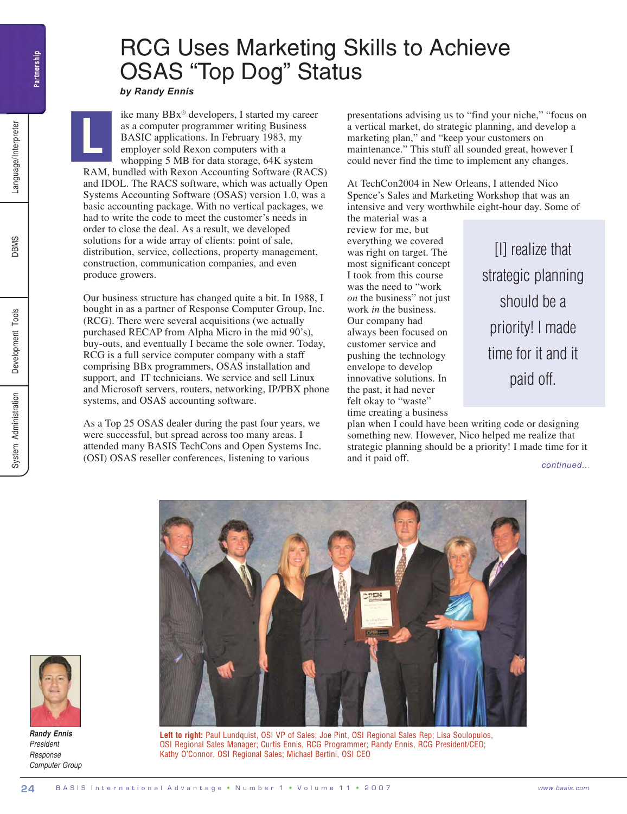**L**

## RCG Uses Marketing Skills to Achieve OSAS "Top Dog" Status

*by Randy Ennis*

ike many BBx® developers, I started my career as a computer programmer writing Business BASIC applications. In February 1983, my employer sold Rexon computers with a whopping 5 MB for data storage, 64K system

RAM, bundled with Rexon Accounting Software (RACS) and IDOL. The RACS software, which was actually Open Systems Accounting Software (OSAS) version 1.0, was a basic accounting package. With no vertical packages, we had to write the code to meet the customer's needs in order to close the deal. As a result, we developed solutions for a wide array of clients: point of sale, distribution, service, collections, property management, construction, communication companies, and even produce growers.

Our business structure has changed quite a bit. In 1988, I bought in as a partner of Response Computer Group, Inc. (RCG). There were several acquisitions (we actually purchased RECAP from Alpha Micro in the mid 90's), buy-outs, and eventually I became the sole owner. Today, RCG is a full service computer company with a staff comprising BBx programmers, OSAS installation and support, and IT technicians. We service and sell Linux and Microsoft servers, routers, networking, IP/PBX phone systems, and OSAS accounting software.

As a Top 25 OSAS dealer during the past four years, we were successful, but spread across too many areas. I attended many BASIS TechCons and Open Systems Inc. (OSI) OSAS reseller conferences, listening to various

presentations advising us to "find your niche," "focus on a vertical market, do strategic planning, and develop a marketing plan," and "keep your customers on maintenance." This stuff all sounded great, however I could never find the time to implement any changes.

At TechCon2004 in New Orleans, I attended Nico Spence's Sales and Marketing Workshop that was an intensive and very worthwhile eight-hour day. Some of the material was a

review for me, but everything we covered was right on target. The most significant concept I took from this course was the need to "work *on* the business" not just work *in* the business. Our company had always been focused on customer service and pushing the technology envelope to develop innovative solutions. In the past, it had never felt okay to "waste" time creating a business

strategic planning should be a priority! I made time for it and it paid off.

[I] realize that

plan when I could have been writing code or designing something new. However, Nico helped me realize that strategic planning should be a priority! I made time for it and it paid off.

*continued...*



Left to right: Paul Lundquist, OSI VP of Sales; Joe Pint, OSI Regional Sales Rep; Lisa Soulopulos, OSI Regional Sales Manager; Curtis Ennis, RCG Programmer; Randy Ennis, RCG President/CEO; Kathy O'Connor, OSI Regional Sales; Michael Bertini, OSI CEO



*Randy Ennis President Response Computer Group*